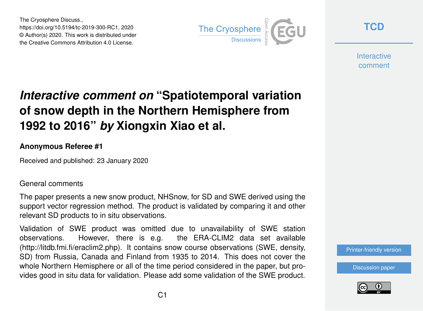The Cryosphere Discuss., https://doi.org/10.5194/tc-2019-300-RC1, 2020 © Author(s) 2020. This work is distributed under the Creative Commons Attribution 4.0 License.



**[TCD](https://www.the-cryosphere-discuss.net/)**

**Interactive** comment

## *Interactive comment on* **"Spatiotemporal variation of snow depth in the Northern Hemisphere from 1992 to 2016"** *by* **Xiongxin Xiao et al.**

## **Anonymous Referee #1**

Received and published: 23 January 2020

## General comments

The paper presents a new snow product, NHSnow, for SD and SWE derived using the support vector regression method. The product is validated by comparing it and other relevant SD products to in situ observations.

Validation of SWE product was omitted due to unavailability of SWE station observations. However, there is e.g. the ERA-CLIM2 data set available (http://litdb.fmi.fi/eraclim2.php). It contains snow course observations (SWE, density, SD) from Russia, Canada and Finland from 1935 to 2014. This does not cover the whole Northern Hemisphere or all of the time period considered in the paper, but provides good in situ data for validation. Please add some validation of the SWE product.

[Printer-friendly version](https://www.the-cryosphere-discuss.net/tc-2019-300/tc-2019-300-RC1-print.pdf)

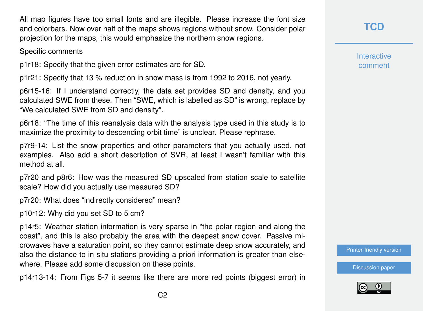All map figures have too small fonts and are illegible. Please increase the font size and colorbars. Now over half of the maps shows regions without snow. Consider polar projection for the maps, this would emphasize the northern snow regions.

Specific comments

p1r18: Specify that the given error estimates are for SD.

p1r21: Specify that 13 % reduction in snow mass is from 1992 to 2016, not yearly.

p6r15-16: If I understand correctly, the data set provides SD and density, and you calculated SWE from these. Then "SWE, which is labelled as SD" is wrong, replace by "We calculated SWE from SD and density".

p6r18: "The time of this reanalysis data with the analysis type used in this study is to maximize the proximity to descending orbit time" is unclear. Please rephrase.

p7r9-14: List the snow properties and other parameters that you actually used, not examples. Also add a short description of SVR, at least I wasn't familiar with this method at all.

p7r20 and p8r6: How was the measured SD upscaled from station scale to satellite scale? How did you actually use measured SD?

p7r20: What does "indirectly considered" mean?

p10r12: Why did you set SD to 5 cm?

p14r5: Weather station information is very sparse in "the polar region and along the coast", and this is also probably the area with the deepest snow cover. Passive microwaves have a saturation point, so they cannot estimate deep snow accurately, and also the distance to in situ stations providing a priori information is greater than elsewhere. Please add some discussion on these points.

p14r13-14: From Figs 5-7 it seems like there are more red points (biggest error) in

**[TCD](https://www.the-cryosphere-discuss.net/)**

**Interactive** comment

[Printer-friendly version](https://www.the-cryosphere-discuss.net/tc-2019-300/tc-2019-300-RC1-print.pdf)

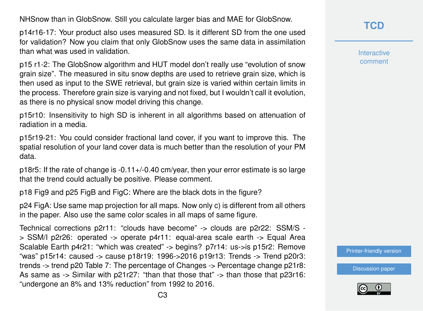NHSnow than in GlobSnow. Still you calculate larger bias and MAE for GlobSnow.

p14r16-17: Your product also uses measured SD. Is it different SD from the one used for validation? Now you claim that only GlobSnow uses the same data in assimilation than what was used in validation.

p15 r1-2: The GlobSnow algorithm and HUT model don't really use "evolution of snow grain size". The measured in situ snow depths are used to retrieve grain size, which is then used as input to the SWE retrieval, but grain size is varied within certain limits in the process. Therefore grain size is varying and not fixed, but I wouldn't call it evolution, as there is no physical snow model driving this change.

p15r10: Insensitivity to high SD is inherent in all algorithms based on attenuation of radiation in a media.

p15r19-21: You could consider fractional land cover, if you want to improve this. The spatial resolution of your land cover data is much better than the resolution of your PM data.

p18r5: If the rate of change is -0.11+/-0.40 cm/year, then your error estimate is so large that the trend could actually be positive. Please comment.

p18 Fig9 and p25 FigB and FigC: Where are the black dots in the figure?

p24 FigA: Use same map projection for all maps. Now only c) is different from all others in the paper. Also use the same color scales in all maps of same figure.

Technical corrections p2r11: "clouds have become" -> clouds are p2r22: SSM/S - > SSM/I p2r26: operated -> operate p4r11: equal-area scale earth -> Equal Area Scalable Earth p4r21: "which was created" -> begins? p7r14: us->is p15r2: Remove "was" p15r14: caused -> cause p18r19: 1996->2016 p19r13: Trends -> Trend p20r3: trends -> trend p20 Table 7: The percentage of Changes -> Percentage change p21r8: As same as  $\rightarrow$  Similar with p21r27: "than that those that"  $\rightarrow$  than those that p23r16: "undergone an 8% and 13% reduction" from 1992 to 2016.

**[TCD](https://www.the-cryosphere-discuss.net/)**

Interactive comment

[Printer-friendly version](https://www.the-cryosphere-discuss.net/tc-2019-300/tc-2019-300-RC1-print.pdf)